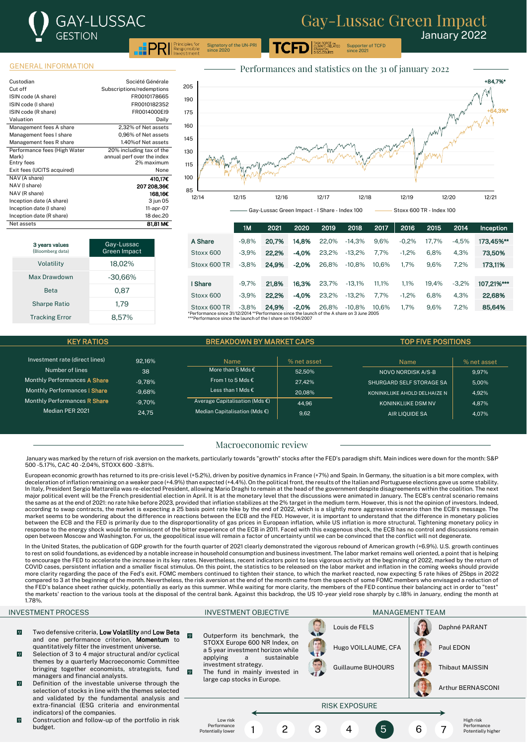January 2022 Supporter of TCFD

#### GENERAL INFORMATION

3 years values omberg data

| Custodian                    | Société Générale           |
|------------------------------|----------------------------|
| Cut off                      | Subscriptions/redemptions  |
| ISIN code (A share)          | FR0010178665               |
| ISIN code (I share)          | FR0010182352               |
| ISIN code (R share)          | FR0014000EI9               |
| Valuation                    | Daily                      |
| Management fees A share      | 2.32% of Net assets        |
| Management fees I share      | 0.96% of Net assets        |
| Management fees R share      | 1.40% of Net assets        |
| Performance fees (High Water | 20% including tax of the   |
| Mark)                        | annual perf over the index |
| Entry fees                   | 2% maximum                 |
| Exit fees (UCITS acquired)   | None                       |
| NAV (A share)                | 410.17€                    |
| NAV (I share)                | 207 208.36€                |
| NAV (R share)                | 168,16€                    |
| Inception date (A share)     | 3 jun 05                   |
| Inception date (I share)     | 11-apr-07                  |
| Inception date (R share)     | 18 dec.20                  |
| Net assets                   | 81,81 M€                   |

Volatility 18,02% Max Drawdown -30,66% Beta 0.87 Sharpe Ratio 1.79 Tracking Error 8,57%

Gay-Lussac Green Impact



since 2021

ASK FORCE o<mark>n</mark><br>LIMATE-RELATED

|                                                                                                                                                                    | 1M      | 2021  | 2020    | 2019  | 2018     | 2017  | 2016    | 2015  | 2014    | <b>Inception</b> |
|--------------------------------------------------------------------------------------------------------------------------------------------------------------------|---------|-------|---------|-------|----------|-------|---------|-------|---------|------------------|
| A Share                                                                                                                                                            | $-9.8%$ | 20.7% | 14.8%   | 22.0% | $-14.3%$ | 9.6%  | $-0.2%$ | 17.7% | $-4.5%$ | 173.45%**        |
| Stoxx 600                                                                                                                                                          | $-3.9%$ | 22.2% | $-4.0%$ | 23.2% | $-13.2%$ | 7.7%  | $-1.2%$ | 6.8%  | 4.3%    | 73.50%           |
| Stoxx 600 TR                                                                                                                                                       | $-3.8%$ | 24.9% | $-2.0%$ | 26.8% | $-10.8%$ | 10.6% | 1.7%    | 9.6%  | 7.2%    | 173.11%          |
|                                                                                                                                                                    |         |       |         |       |          |       |         |       |         |                  |
| I Share                                                                                                                                                            | $-9.7%$ | 21.8% | 16.3%   | 23.7% | $-13.1%$ | 11.1% | 1.1%    | 19.4% | $-3.2%$ | 107.21%***       |
| Stoxx 600                                                                                                                                                          | $-3.9%$ | 22.2% | $-4.0%$ | 23.2% | $-13.2%$ | 7.7%  | $-1.2%$ | 6.8%  | 4.3%    | 22,68%           |
| Stoxx 600 TR                                                                                                                                                       | $-3.8%$ | 24.9% | $-2.0%$ | 26.8% | $-10.8%$ | 10.6% | 1.7%    | 9.6%  | 7.2%    | 85,64%           |
| *Performance since 31/12/2014 **Performance since the launch of the A share on 3 June 2005<br>$\star\star$ Defermence since the leungh of the Leberg on 11/04/2007 |         |       |         |       |          |       |         |       |         |                  |

the Lahare on 11/0

Signatory of the UN-PRI since 2020

| <b>BREAKDOWN BY MARKET CAPS</b><br><b>KEY RATIOS</b> |          |                                          | <b>TOP FIVE POSITIONS</b> |                              |             |
|------------------------------------------------------|----------|------------------------------------------|---------------------------|------------------------------|-------------|
|                                                      |          |                                          |                           |                              |             |
| Investment rate (direct lines)                       | 92.16%   | <b>Name</b>                              | % net asset               | <b>Name</b>                  | % net asset |
| Number of lines                                      | 38       | More than 5 Mds $\epsilon$               | 52.50%                    | NOVO NORDISK A/S-B           | 9.97%       |
| Monthly Performances A Share                         | $-9.78%$ | From 1 to 5 Mds $\epsilon$               | 27.42%                    | SHURGARD SELF STORAGE SA     | 5.00%       |
| Monthly Performances   Share                         | $-9.68%$ | Less than 1 Mds €                        | 20.08%                    | KONINKLIJKE AHOLD DELHAIZE N | 4.92%       |
| Monthly Performances R Share                         | $-9.70%$ | Average Capitalisation (Mds $\epsilon$ ) | 44.96                     | <b>KONINKLIJKE DSM NV</b>    | 4.87%       |
| Median PER 2021                                      | 24.75    | Median Capitalisation (Mds $\epsilon$ )  | 9.62                      | AIR LIOUIDE SA               | 4.07%       |

#### Macroeconomic review

January was marked by the return of risk aversion on the markets, particularly towards "growth" stocks after the FED's paradigm shift. Main indices were down for the month: S&P 500 -5.17%, CAC 40 -2.04%, STOXX 600 -3.81%.

European economic growth has returned to its pre-crisis level (+5.2%), driven by positive dynamics in France (+7%) and Spain. In Germany, the situation is a bit more complex, with deceleration of inflation remaining on a weaker pace (+4.9%) than expected (+4.4%). On the political front, the results of the Italian and Portuguese elections gave us some stability. In Italy, President Sergio Mattarella was re-elected President, allowing Mario Draghi to remain at the head of the government despite disagreements within the coalition. The next major political event will be the French presidential election in April. It is at the monetary level that the discussions were animated in January. The ECB's central scenario remains the same as at the end of 2021: no rate hike before 2023, provided that inflation stabilizes at the 2% target in the medium term. However, this is not the opinion of investors. Indeed, according to swap contracts, the market is expecting a 25 basis point rate hike by the end of 2022, which is a slightly more aggressive scenario than the ECB's message. The market seems to be wondering about the difference in reactions between the ECB and the FED. However, it is important to understand that the difference in monetary policies between the ECB and the FED is primarily due to the disproportionality of gas prices in European inflation, while US inflation is more structural. Tightening monetary policy in<br>response to the energy shock would be reminis open between Moscow and Washington. For us, the geopolitical issue will remain a factor of uncertainty until we can be convinced that the conflict will not degenerate.

In the United States, the publication of GDP growth for the fourth quarter of 2021 clearly demonstrated the vigorous rebound of American growth (+6.9%). U.S. growth continues to rest on solid foundations, as evidenced by a notable increase in household consumption and business investment. The labor market remains well oriented, a point that is helping to encourage the FED to accelerate the increase in its key rates. Nevertheless, recent indicators point to less vigorous activity at the beginning of 2022, marked by the return of COVID cases, persistent inflation and a smaller fiscal stimulus. On this point, the statistics to be released on the labor market and inflation in the coming weeks should provide more clarity regarding the pace of the Fed's exit. FOMC members continued to tighten their stance, to which the market reacted, now expecting 5 rate hikes of 25bps in 2022 compared to 3 at the beginning of the month. Nevertheless, the risk aversion at the end of the month came from the speech of some FOMC members who envisaged a reduction of the FED's balance sheet rather quickly, potentially as early as this summer. While waiting for more clarity, the members of the FED continue their balancing act in order to "test"<br>the markets' reaction to the various tools 1.78%.

#### INVESTMENT PROCESS INVESTMENT OBJECTIVE MANAGEMENT TEAM

- $\sqrt{0}$ Two defensive criteria, Low Volatility and Low Beta and one performance criterion, **Momentum** to quantitatively filter the investment universe.
- $\overline{0}$ Selection of 3 to 4 major structural and/or cyclical themes by a quarterly Macroeconomic Committee bringing together economists, strategists, fund managers and financial analysts.
- $\overline{9}$ Definition of the investable universe through the selection of stocks in line with the themes selected and validated by the fundamental analysis and extra-financial (ESG criteria and environmental indicators) of the companies.
- $\overline{9}$ Construction and follow-up of the portfolio in risk budget.

 $\overline{0}$ Outperform its benchmark, the STOXX Europe 600 NR Index, on a 5 year investment horizon while<br>applying a sustainable a sustainable investment strategy.  $\overline{0}$ The fund in mainly invested in large cap stocks in Europe.

> Low risk **Performance** Potentially lower





Guillaume BUHOURS | Thibaut MAISSIN

RISK EXPOSURE

1 2 3 4 5 6 7



Arthur BERNASCONI

High risk Performance Potentially higher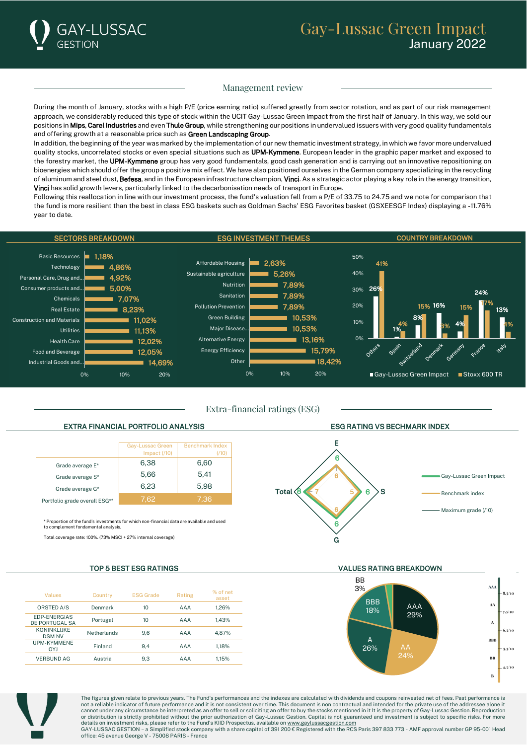

# Gay-Lussac Green Impact January 2022

### Management review

During the month of January, stocks with a high P/E (price earning ratio) suffered greatly from sector rotation, and as part of our risk management approach, we considerably reduced this type of stock within the UCIT Gay-Lussac Green Impact from the first half of January. In this way, we sold our positions in Mips, Carel Industries and even Thule Group, while strengthening our positions in undervalued issuers with very good quality fundamentals and offering growth at a reasonable price such as Green Landscaping Group.

In addition, the beginning of the year was marked by the implementation of our new thematic investment strategy, in which we favor more undervalued quality stocks, uncorrelated stocks or even special situations such as UPM-Kymmene. European leader in the graphic paper market and exposed to the forestry market, the UPM-Kymmene group has very good fundamentals, good cash generation and is carrying out an innovative repositioning on bioenergies which should offer the group a positive mix effect. We have also positioned ourselves in the German company specializing in the recycling of aluminum and steel dust, Befesa, and in the European infrastructure champion, Vinci. As a strategic actor playing a key role in the energy transition, Vinci has solid growth levers, particularly linked to the decarbonisation needs of transport in Europe.

Following this reallocation in line with our investment process, the fund's valuation fell from a P/E of 33.75 to 24.75 and we note for comparison that the fund is more resilient than the best in class ESG baskets such as Goldman Sachs' ESG Favorites basket (GSXEESGF Index) displaying a -11.76% year to date.



Extra-financial ratings (ESG)

### EXTRA FINANCIAL PORTFOLIO ANALYSIS ESG RATING VS BECHMARK INDEX

|                               | Gay-Lussac Green<br>Impact $(70)$ | <b>Benchmark Index</b><br>(110) |
|-------------------------------|-----------------------------------|---------------------------------|
| Grade average E*              | 6,38                              | 6.60                            |
| Grade average S*              | 5,66                              | 5.41                            |
| Grade average G*              | 6,23                              | 5,98                            |
| Portfolio grade overall ESG** | 7.62                              | 7.36                            |

\* Proportion of the fund's investments for which non-financial data are available and used to complement fondamental analysis.

Total coverage rate: 100%. (73% MSCI + 27% internal coverage)

| Values                                | Country     | <b>ESG Grade</b> | Rating     | % of net<br>asset |
|---------------------------------------|-------------|------------------|------------|-------------------|
| ORSTED A/S                            | Denmark     | 10               | <b>AAA</b> | 1.26%             |
| <b>EDP-ENERGIAS</b><br>DE PORTUGAL SA | Portugal    | 10               | AAA        | 1.43%             |
| <b>KONINKLIJKE</b><br><b>DSM NV</b>   | Netherlands | 9.6              | AAA        | 4.87%             |
| <b>UPM-KYMMENE</b><br><b>OYJ</b>      | Finland     | 9.4              | AAA        | 1.18%             |
| <b>VERBUND AG</b>                     | Austria     | 9.3              | <b>AAA</b> | 1.15%             |





TOP 5 BEST ESG RATINGS VALUES RATING BREAKDOWN





The figures given relate to previous years. The Fund's performances and the indexes are calculated with dividends and coupons reinvested net of fees. Past performance is not a reliable indicator of future performance and it is not consistent over time. This document is non contractual and intended for the private use of the addressee alone it<br>cannot under any circumstance be interpreted as or distribution is strictly prohibited without the prior authorization of Gay-Lussac Gestion. Capital is not guaranteed and investment is subject to specific risks. For more<br>details on investment risks, please refer to the

office: 45 avenue George V - 75008 PARIS - France